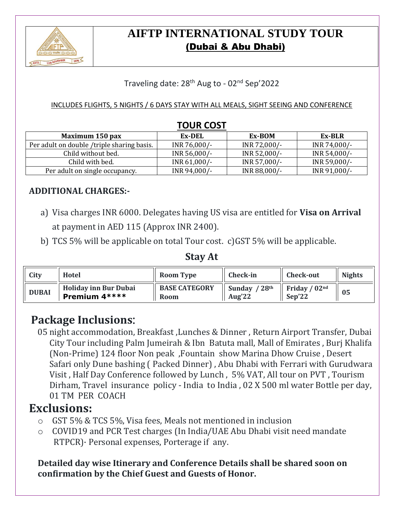

# **AIFTP INTERNATIONAL STUDY TOUR** (Dubai & Abu Dhabi)

### Traveling date: 28<sup>th</sup> Aug to - 02<sup>nd</sup> Sep'2022

#### INCLUDES FLIGHTS, 5 NIGHTS / 6 DAYS STAY WITH ALL MEALS, SIGHT SEEING AND CONFERENCE

|                                            | 1 UUIL LUJ 1 |              |              |
|--------------------------------------------|--------------|--------------|--------------|
| Maximum 150 pax                            | Ex-DEL       | Ex-BOM       | Ex-BLR       |
| Per adult on double /triple sharing basis. | INR 76,000/- | INR 72,000/- | INR 74,000/- |
| Child without bed.                         | INR 56,000/- | INR 52,000/- | INR 54,000/- |
| Child with bed.                            | INR 61,000/- | INR 57,000/- | INR 59,000/- |
| Per adult on single occupancy.             | INR 94,000/- | INR 88,000/- | INR 91,000/- |

### **TOUR COST**

### **ADDITIONAL CHARGES:-**

- a) Visa charges INR 6000. Delegates having US visa are entitled for **Visa on Arrival** at payment in AED 115 (Approx INR 2400).
- b) TCS 5% will be applicable on total Tour cost. c)GST 5% will be applicable.

### **Stay At**

| City         | Hotel                                         | <b>Room Type</b>                    | <b>Check-in</b>          | <b>Check-out</b>          | <b>Nights</b> |
|--------------|-----------------------------------------------|-------------------------------------|--------------------------|---------------------------|---------------|
| <b>DUBAI</b> | <b>Holiday inn Bur Dubai</b><br>Premium 4**** | <b>BASE CATEGORY</b><br><b>Room</b> | Sunday $/28th$<br>Aug'22 | Friday / $02nd$<br>Sep'22 | 05            |

# **Package Inclusions**:

05 night accommodation, Breakfast ,Lunches & Dinner , Return Airport Transfer, Dubai City Tour including Palm Jumeirah & Ibn Batuta mall, Mall of Emirates , Burj Khalifa (Non-Prime) 124 floor Non peak ,Fountain show Marina Dhow Cruise , Desert Safari only Dune bashing ( Packed Dinner) , Abu Dhabi with Ferrari with Gurudwara Visit , Half Day Conference followed by Lunch , 5% VAT, All tour on PVT , Tourism Dirham, Travel insurance policy - India to India , 02 X 500 ml water Bottle per day, 01 TM PER COACH

## **Exclusions:**

- o GST 5% & TCS 5%, Visa fees, Meals not mentioned in inclusion
- o COVID19 and PCR Test charges (In India/UAE Abu Dhabi visit need mandate RTPCR)· Personal expenses, Porterage if any.

### **Detailed day wise Itinerary and Conference Details shall be shared soon on confirmation by the Chief Guest and Guests of Honor.**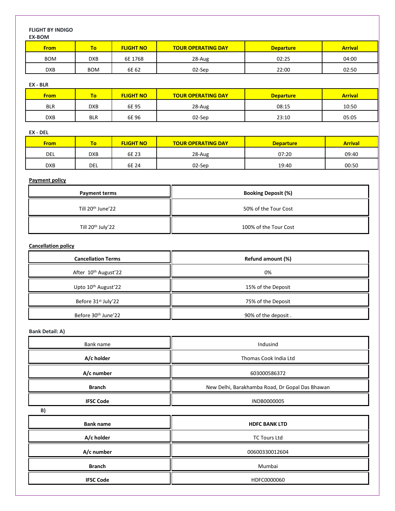#### **FLIGHT BY INDIGO EX-BOM**

| <b>LA-DUIVI</b> |             |                  |                           |                  |                |
|-----------------|-------------|------------------|---------------------------|------------------|----------------|
| <b>From</b>     | To <b>I</b> | <b>FLIGHT NO</b> | <b>TOUR OPERATING DAY</b> | <b>Departure</b> | <b>Arrival</b> |
| <b>BOM</b>      | <b>DXB</b>  | 6E 1768          | 28-Aug                    | 02:25            | 04:00          |
| <b>DXB</b>      | <b>BOM</b>  | 6E 62            | 02-Sep                    | 22:00            | 02:50          |

#### **EX - BLR**

| <u>From </u> | To.        | <b>FLIGHT NO</b> | <b>TOUR OPERATING DAY</b> | <b>Departure</b> | <b>Arrival</b> |
|--------------|------------|------------------|---------------------------|------------------|----------------|
| <b>BLR</b>   | <b>DXB</b> | 6E 95            | 28-Aug                    | 08:15            | 10:50          |
| <b>DXB</b>   | <b>BLR</b> | 6E 96            | 02-Sep                    | 23:10            | 05:05          |

#### **EX - DEL**

| <b>From</b> | ٥          | <b>FLIGHT NO</b> | <b>TOUR OPERATING DAY</b> | <b>Departure</b> | <b>Arrival</b> |
|-------------|------------|------------------|---------------------------|------------------|----------------|
| DEL         | <b>DXB</b> | 6E 23            | 28-Aug                    | 07:20            | 09:40          |
| <b>DXB</b>  | del        | 6E 24            | 02-Sep                    | 19:40            | 00:50          |

#### **Payment policy**

| <b>Payment terms</b>          | <b>Booking Deposit (%)</b> |  |  |
|-------------------------------|----------------------------|--|--|
| Till 20 <sup>th</sup> June'22 | 50% of the Tour Cost       |  |  |
| Till 20 <sup>th</sup> July'22 | 100% of the Tour Cost      |  |  |

#### **Cancellation policy**

| <b>Cancellation Terms</b>       | Refund amount (%)   |
|---------------------------------|---------------------|
| After 10th August'22            | 0%                  |
| Upto 10 <sup>th</sup> August'22 | 15% of the Deposit  |
| Before 31 <sup>st</sup> July'22 | 75% of the Deposit  |
| Before 30th June'22             | 90% of the deposit. |

**Bank Detail: A)**

| Bank name        | Indusind                                        |  |  |  |
|------------------|-------------------------------------------------|--|--|--|
| A/c holder       | Thomas Cook India Ltd                           |  |  |  |
| A/c number       | 603000586372                                    |  |  |  |
| <b>Branch</b>    | New Delhi, Barakhamba Road, Dr Gopal Das Bhawan |  |  |  |
| <b>IFSC Code</b> | INDB0000005                                     |  |  |  |
| B)               |                                                 |  |  |  |
| <b>Bank name</b> | <b>HDFC BANK LTD</b>                            |  |  |  |
| A/c holder       | <b>TC Tours Ltd</b>                             |  |  |  |
| A/c number       | 00600330012604                                  |  |  |  |
| <b>Branch</b>    | Mumbai                                          |  |  |  |
| <b>IFSC Code</b> | HDFC0000060                                     |  |  |  |